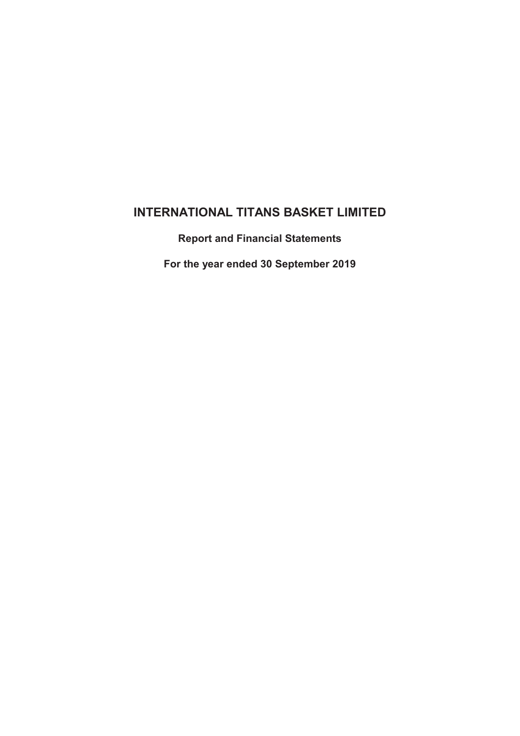**Report and Financial Statements**

**For the year ended 30 September 2019**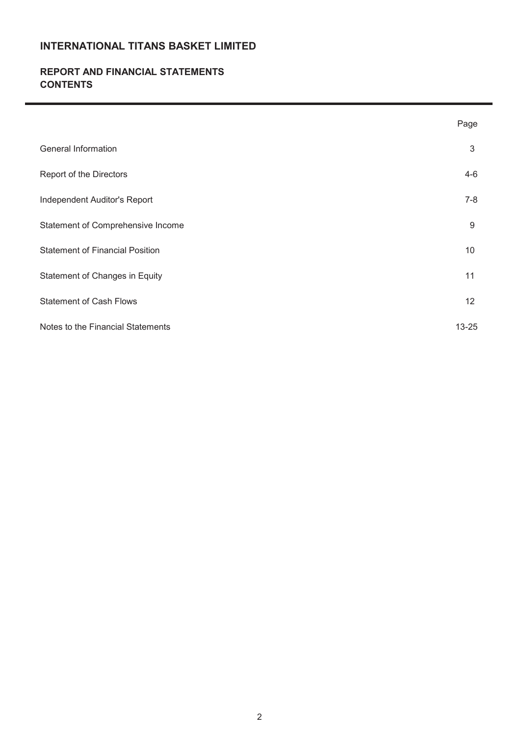# **REPORT AND FINANCIAL STATEMENTS CONTENTS**

|                                        | Page      |
|----------------------------------------|-----------|
| General Information                    | 3         |
| Report of the Directors                | $4-6$     |
| Independent Auditor's Report           | $7 - 8$   |
| Statement of Comprehensive Income      | 9         |
| <b>Statement of Financial Position</b> | 10        |
| Statement of Changes in Equity         | 11        |
| <b>Statement of Cash Flows</b>         | 12        |
| Notes to the Financial Statements      | $13 - 25$ |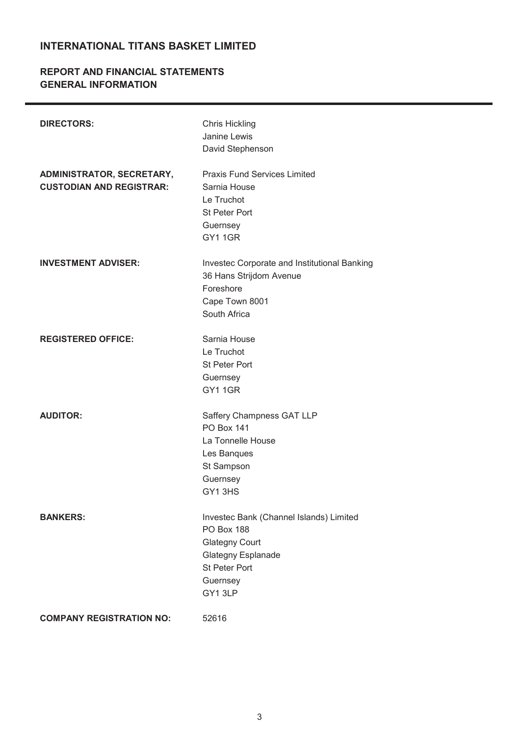# **REPORT AND FINANCIAL STATEMENTS GENERAL INFORMATION**

| <b>DIRECTORS:</b>                                            | <b>Chris Hickling</b><br>Janine Lewis<br>David Stephenson                                                                                                 |
|--------------------------------------------------------------|-----------------------------------------------------------------------------------------------------------------------------------------------------------|
| ADMINISTRATOR, SECRETARY,<br><b>CUSTODIAN AND REGISTRAR:</b> | <b>Praxis Fund Services Limited</b><br>Sarnia House<br>Le Truchot<br><b>St Peter Port</b><br>Guernsey<br>GY11GR                                           |
| <b>INVESTMENT ADVISER:</b>                                   | Investec Corporate and Institutional Banking<br>36 Hans Strijdom Avenue<br>Foreshore<br>Cape Town 8001<br>South Africa                                    |
| <b>REGISTERED OFFICE:</b>                                    | Sarnia House<br>Le Truchot<br><b>St Peter Port</b><br>Guernsey<br><b>GY11GR</b>                                                                           |
| <b>AUDITOR:</b>                                              | Saffery Champness GAT LLP<br><b>PO Box 141</b><br>La Tonnelle House<br>Les Banques<br>St Sampson<br>Guernsey<br>GY13HS                                    |
| <b>BANKERS:</b>                                              | Investec Bank (Channel Islands) Limited<br><b>PO Box 188</b><br><b>Glategny Court</b><br>Glategny Esplanade<br><b>St Peter Port</b><br>Guernsey<br>GY13LP |
| <b>COMPANY REGISTRATION NO:</b>                              | 52616                                                                                                                                                     |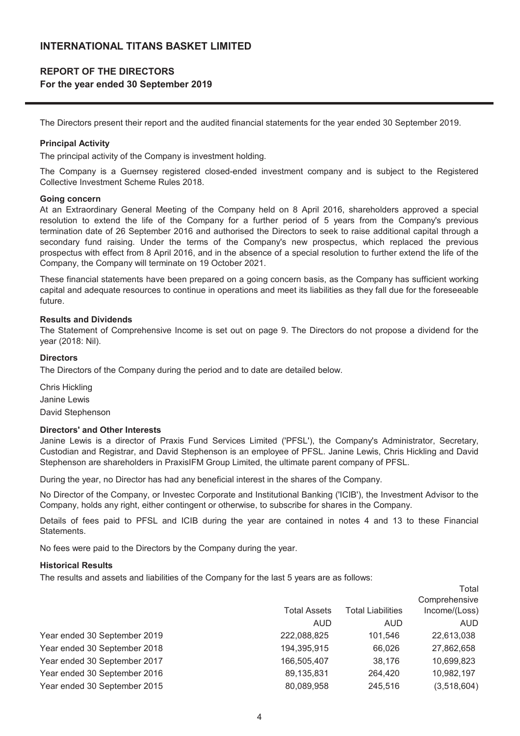# **REPORT OF THE DIRECTORS For the year ended 30 September 2019**

The Directors present their report and the audited financial statements for the year ended 30 September 2019.

#### **Principal Activity**

The principal activity of the Company is investment holding.

The Company is a Guernsey registered closed-ended investment company and is subject to the Registered Collective Investment Scheme Rules 2018.

#### **Going concern**

At an Extraordinary General Meeting of the Company held on 8 April 2016, shareholders approved a special resolution to extend the life of the Company for a further period of 5 years from the Company's previous termination date of 26 September 2016 and authorised the Directors to seek to raise additional capital through a secondary fund raising. Under the terms of the Company's new prospectus, which replaced the previous prospectus with effect from 8 April 2016, and in the absence of a special resolution to further extend the life of the Company, the Company will terminate on 19 October 2021.

These financial statements have been prepared on a going concern basis, as the Company has sufficient working capital and adequate resources to continue in operations and meet its liabilities as they fall due for the foreseeable future.

#### **Results and Dividends**

The Statement of Comprehensive Income is set out on page 9. The Directors do not propose a dividend for the year (2018: Nil).

#### **Directors**

The Directors of the Company during the period and to date are detailed below.

Chris Hickling Janine Lewis David Stephenson

#### **Directors' and Other Interests**

Janine Lewis is a director of Praxis Fund Services Limited ('PFSL'), the Company's Administrator, Secretary, Custodian and Registrar, and David Stephenson is an employee of PFSL. Janine Lewis, Chris Hickling and David Stephenson are shareholders in PraxisIFM Group Limited, the ultimate parent company of PFSL.

During the year, no Director has had any beneficial interest in the shares of the Company.

No Director of the Company, or Investec Corporate and Institutional Banking ('ICIB'), the Investment Advisor to the Company, holds any right, either contingent or otherwise, to subscribe for shares in the Company.

Details of fees paid to PFSL and ICIB during the year are contained in notes 4 and 13 to these Financial Statements.

No fees were paid to the Directors by the Company during the year.

#### **Historical Results**

The results and assets and liabilities of the Company for the last 5 years are as follows:

|                              |                     |                          | Total                          |
|------------------------------|---------------------|--------------------------|--------------------------------|
|                              | <b>Total Assets</b> | <b>Total Liabilities</b> | Comprehensive<br>Income/(Loss) |
|                              | <b>AUD</b>          | AUD.                     | <b>AUD</b>                     |
| Year ended 30 September 2019 | 222,088,825         | 101,546                  | 22,613,038                     |
| Year ended 30 September 2018 | 194,395,915         | 66,026                   | 27,862,658                     |
| Year ended 30 September 2017 | 166,505,407         | 38,176                   | 10,699,823                     |
| Year ended 30 September 2016 | 89,135,831          | 264,420                  | 10,982,197                     |
| Year ended 30 September 2015 | 80,089,958          | 245,516                  | (3,518,604)                    |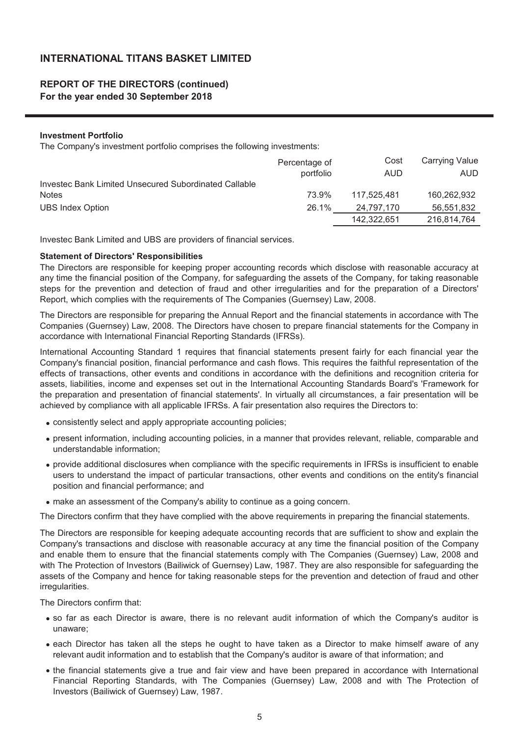# **REPORT OF THE DIRECTORS (continued) For the year ended 30 September 2018**

#### **Investment Portfolio**

The Company's investment portfolio comprises the following investments:

|                                                       | Percentage of | Cost        | <b>Carrying Value</b> |
|-------------------------------------------------------|---------------|-------------|-----------------------|
|                                                       | portfolio     | AUD         | AUD                   |
| Investec Bank Limited Unsecured Subordinated Callable |               |             |                       |
| <b>Notes</b>                                          | 73.9%         | 117.525.481 | 160.262.932           |
| <b>UBS Index Option</b>                               | 26.1%         | 24.797.170  | 56,551,832            |
|                                                       |               | 142,322,651 | 216,814,764           |

Investec Bank Limited and UBS are providers of financial services.

#### **Statement of Directors' Responsibilities**

The Directors are responsible for keeping proper accounting records which disclose with reasonable accuracy at any time the financial position of the Company, for safeguarding the assets of the Company, for taking reasonable steps for the prevention and detection of fraud and other irregularities and for the preparation of a Directors' Report, which complies with the requirements of The Companies (Guernsey) Law, 2008.

The Directors are responsible for preparing the Annual Report and the financial statements in accordance with The Companies (Guernsey) Law, 2008. The Directors have chosen to prepare financial statements for the Company in accordance with International Financial Reporting Standards (IFRSs).

International Accounting Standard 1 requires that financial statements present fairly for each financial year the Company's financial position, financial performance and cash flows. This requires the faithful representation of the effects of transactions, other events and conditions in accordance with the definitions and recognition criteria for assets, liabilities, income and expenses set out in the International Accounting Standards Board's 'Framework for the preparation and presentation of financial statements'. In virtually all circumstances, a fair presentation will be achieved by compliance with all applicable IFRSs. A fair presentation also requires the Directors to:

- consistently select and apply appropriate accounting policies;
- present information, including accounting policies, in a manner that provides relevant, reliable, comparable and understandable information;
- provide additional disclosures when compliance with the specific requirements in IFRSs is insufficient to enable users to understand the impact of particular transactions, other events and conditions on the entity's financial position and financial performance; and
- make an assessment of the Company's ability to continue as a going concern.

The Directors confirm that they have complied with the above requirements in preparing the financial statements.

The Directors are responsible for keeping adequate accounting records that are sufficient to show and explain the Company's transactions and disclose with reasonable accuracy at any time the financial position of the Company and enable them to ensure that the financial statements comply with The Companies (Guernsey) Law, 2008 and with The Protection of Investors (Bailiwick of Guernsey) Law, 1987. They are also responsible for safeguarding the assets of the Company and hence for taking reasonable steps for the prevention and detection of fraud and other irregularities.

The Directors confirm that:

- so far as each Director is aware, there is no relevant audit information of which the Company's auditor is unaware;
- each Director has taken all the steps he ought to have taken as a Director to make himself aware of any relevant audit information and to establish that the Company's auditor is aware of that information; and
- the financial statements give a true and fair view and have been prepared in accordance with International Financial Reporting Standards, with The Companies (Guernsey) Law, 2008 and with The Protection of Investors (Bailiwick of Guernsey) Law, 1987.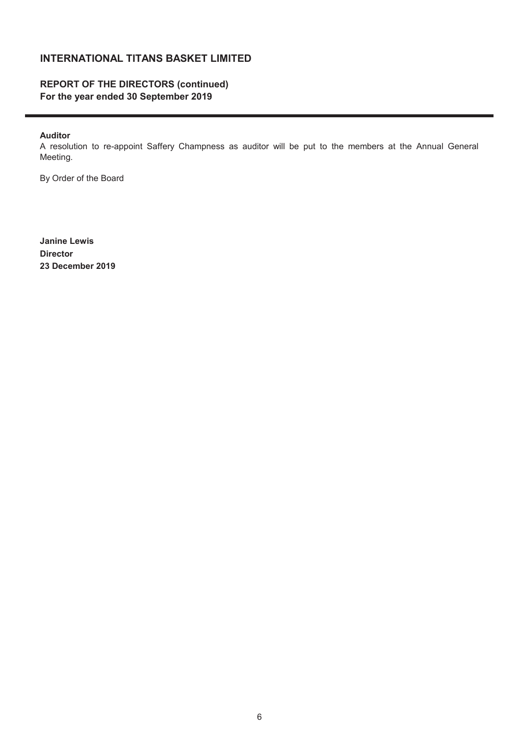# **REPORT OF THE DIRECTORS (continued) For the year ended 30 September 2019**

#### **Auditor**

A resolution to re-appoint Saffery Champness as auditor will be put to the members at the Annual General Meeting.

By Order of the Board

**Janine Lewis Director 23 December 2019**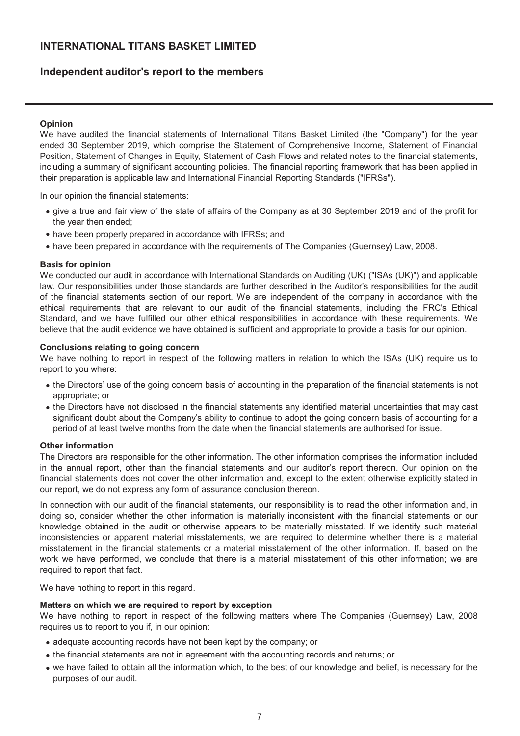# **Independent auditor's report to the members**

### **Opinion**

We have audited the financial statements of International Titans Basket Limited (the "Company") for the year ended 30 September 2019, which comprise the Statement of Comprehensive Income, Statement of Financial Position, Statement of Changes in Equity, Statement of Cash Flows and related notes to the financial statements, including a summary of significant accounting policies. The financial reporting framework that has been applied in their preparation is applicable law and International Financial Reporting Standards ("IFRSs").

In our opinion the financial statements:

- give a true and fair view of the state of affairs of the Company as at 30 September 2019 and of the profit for the year then ended;
- have been properly prepared in accordance with IFRSs; and
- have been prepared in accordance with the requirements of The Companies (Guernsey) Law, 2008.

#### **Basis for opinion**

We conducted our audit in accordance with International Standards on Auditing (UK) ("ISAs (UK)") and applicable law. Our responsibilities under those standards are further described in the Auditor's responsibilities for the audit of the financial statements section of our report. We are independent of the company in accordance with the ethical requirements that are relevant to our audit of the financial statements, including the FRC's Ethical Standard, and we have fulfilled our other ethical responsibilities in accordance with these requirements. We believe that the audit evidence we have obtained is sufficient and appropriate to provide a basis for our opinion.

#### **Conclusions relating to going concern**

We have nothing to report in respect of the following matters in relation to which the ISAs (UK) require us to report to you where:

- the Directors' use of the going concern basis of accounting in the preparation of the financial statements is not appropriate; or
- the Directors have not disclosed in the financial statements any identified material uncertainties that may cast significant doubt about the Company's ability to continue to adopt the going concern basis of accounting for a period of at least twelve months from the date when the financial statements are authorised for issue.

#### **Other information**

The Directors are responsible for the other information. The other information comprises the information included in the annual report, other than the financial statements and our auditor's report thereon. Our opinion on the financial statements does not cover the other information and, except to the extent otherwise explicitly stated in our report, we do not express any form of assurance conclusion thereon.

In connection with our audit of the financial statements, our responsibility is to read the other information and, in doing so, consider whether the other information is materially inconsistent with the financial statements or our knowledge obtained in the audit or otherwise appears to be materially misstated. If we identify such material inconsistencies or apparent material misstatements, we are required to determine whether there is a material misstatement in the financial statements or a material misstatement of the other information. If, based on the work we have performed, we conclude that there is a material misstatement of this other information; we are required to report that fact.

We have nothing to report in this regard.

### **Matters on which we are required to report by exception**

We have nothing to report in respect of the following matters where The Companies (Guernsey) Law, 2008 requires us to report to you if, in our opinion:

- adequate accounting records have not been kept by the company; or
- the financial statements are not in agreement with the accounting records and returns; or
- we have failed to obtain all the information which, to the best of our knowledge and belief, is necessary for the purposes of our audit.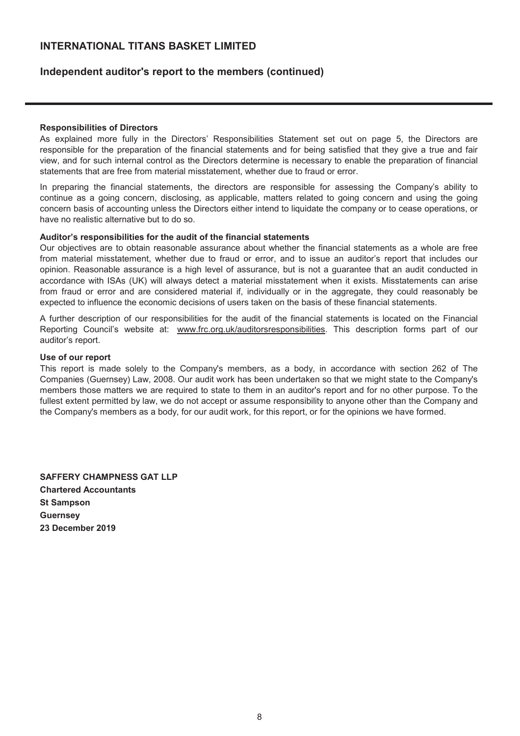# **Independent auditor's report to the members (continued)**

### **Responsibilities of Directors**

As explained more fully in the Directors' Responsibilities Statement set out on page 5, the Directors are responsible for the preparation of the financial statements and for being satisfied that they give a true and fair view, and for such internal control as the Directors determine is necessary to enable the preparation of financial statements that are free from material misstatement, whether due to fraud or error.

In preparing the financial statements, the directors are responsible for assessing the Company's ability to continue as a going concern, disclosing, as applicable, matters related to going concern and using the going concern basis of accounting unless the Directors either intend to liquidate the company or to cease operations, or have no realistic alternative but to do so.

#### **Auditor's responsibilities for the audit of the financial statements**

Our objectives are to obtain reasonable assurance about whether the financial statements as a whole are free from material misstatement, whether due to fraud or error, and to issue an auditor's report that includes our opinion. Reasonable assurance is a high level of assurance, but is not a guarantee that an audit conducted in accordance with ISAs (UK) will always detect a material misstatement when it exists. Misstatements can arise from fraud or error and are considered material if, individually or in the aggregate, they could reasonably be expected to influence the economic decisions of users taken on the basis of these financial statements.

A further description of our responsibilities for the audit of the financial statements is located on the Financial Reporting Council's website at: www.frc.org.uk/auditorsresponsibilities. This description forms part of our auditor's report.

#### **Use of our report**

This report is made solely to the Company's members, as a body, in accordance with section 262 of The Companies (Guernsey) Law, 2008. Our audit work has been undertaken so that we might state to the Company's members those matters we are required to state to them in an auditor's report and for no other purpose. To the fullest extent permitted by law, we do not accept or assume responsibility to anyone other than the Company and the Company's members as a body, for our audit work, for this report, or for the opinions we have formed.

**SAFFERY CHAMPNESS GAT LLP Chartered Accountants St Sampson Guernsey 23 December 2019**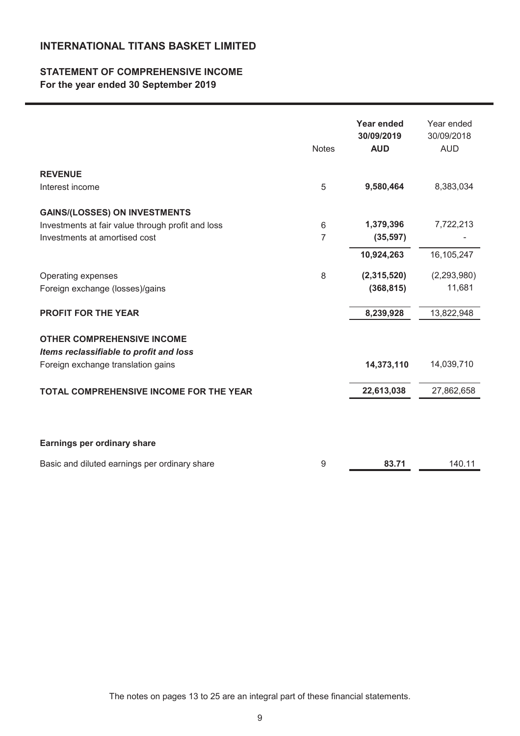# **STATEMENT OF COMPREHENSIVE INCOME For the year ended 30 September 2019**

|                                                                              | <b>Notes</b> | <b>Year ended</b><br>30/09/2019<br><b>AUD</b> | Year ended<br>30/09/2018<br><b>AUD</b> |
|------------------------------------------------------------------------------|--------------|-----------------------------------------------|----------------------------------------|
| <b>REVENUE</b>                                                               |              |                                               |                                        |
| Interest income                                                              | 5            | 9,580,464                                     | 8,383,034                              |
| <b>GAINS/(LOSSES) ON INVESTMENTS</b>                                         |              |                                               |                                        |
| Investments at fair value through profit and loss                            | 6            | 1,379,396                                     | 7,722,213                              |
| Investments at amortised cost                                                | 7            | (35, 597)                                     |                                        |
|                                                                              |              | 10,924,263                                    | 16,105,247                             |
| Operating expenses                                                           | 8            | (2,315,520)                                   | (2, 293, 980)                          |
| Foreign exchange (losses)/gains                                              |              | (368, 815)                                    | 11,681                                 |
| <b>PROFIT FOR THE YEAR</b>                                                   |              | 8,239,928                                     | 13,822,948                             |
| <b>OTHER COMPREHENSIVE INCOME</b><br>Items reclassifiable to profit and loss |              |                                               |                                        |
| Foreign exchange translation gains                                           |              | 14,373,110                                    | 14,039,710                             |
| <b>TOTAL COMPREHENSIVE INCOME FOR THE YEAR</b>                               |              | 22,613,038                                    | 27,862,658                             |
|                                                                              |              |                                               |                                        |
| Earnings per ordinary share                                                  |              |                                               |                                        |
| Basic and diluted earnings per ordinary share                                | 9            | 83.71                                         | 140.11                                 |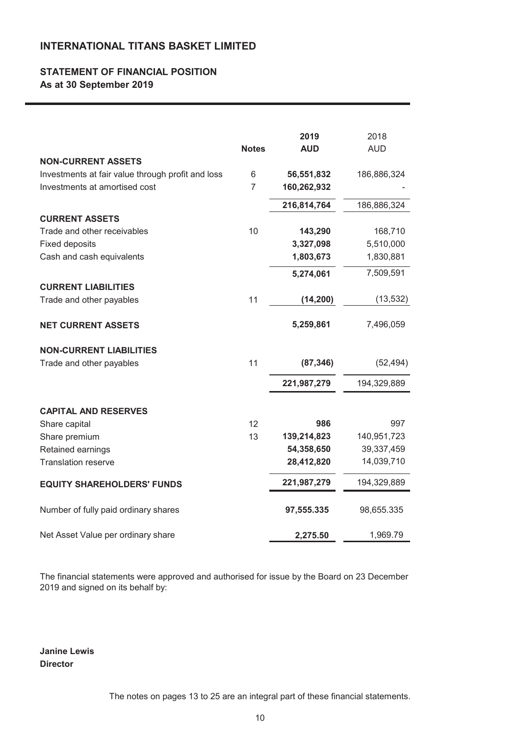### **STATEMENT OF FINANCIAL POSITION As at 30 September 2019**

|                                                   |                | 2019        | 2018        |
|---------------------------------------------------|----------------|-------------|-------------|
|                                                   | <b>Notes</b>   | <b>AUD</b>  | <b>AUD</b>  |
| <b>NON-CURRENT ASSETS</b>                         |                |             |             |
| Investments at fair value through profit and loss | 6              | 56,551,832  | 186,886,324 |
| Investments at amortised cost                     | $\overline{7}$ | 160,262,932 |             |
|                                                   |                | 216,814,764 | 186,886,324 |
| <b>CURRENT ASSETS</b>                             |                |             |             |
| Trade and other receivables                       | 10             | 143,290     | 168,710     |
| <b>Fixed deposits</b>                             |                | 3,327,098   | 5,510,000   |
| Cash and cash equivalents                         |                | 1,803,673   | 1,830,881   |
|                                                   |                | 5,274,061   | 7,509,591   |
| <b>CURRENT LIABILITIES</b>                        |                |             |             |
| Trade and other payables                          | 11             | (14, 200)   | (13, 532)   |
| <b>NET CURRENT ASSETS</b>                         |                | 5,259,861   | 7,496,059   |
| <b>NON-CURRENT LIABILITIES</b>                    |                |             |             |
| Trade and other payables                          | 11             | (87, 346)   | (52, 494)   |
|                                                   |                | 221,987,279 | 194,329,889 |
| <b>CAPITAL AND RESERVES</b>                       |                |             |             |
| Share capital                                     | 12             | 986         | 997         |
| Share premium                                     | 13             | 139,214,823 | 140,951,723 |
| Retained earnings                                 |                | 54,358,650  | 39,337,459  |
| <b>Translation reserve</b>                        |                | 28,412,820  | 14,039,710  |
| <b>EQUITY SHAREHOLDERS' FUNDS</b>                 |                | 221,987,279 | 194,329,889 |
| Number of fully paid ordinary shares              |                | 97,555.335  | 98,655.335  |
| Net Asset Value per ordinary share                |                | 2,275.50    | 1,969.79    |

The financial statements were approved and authorised for issue by the Board on 23 December 2019 and signed on its behalf by:

**Janine Lewis Director**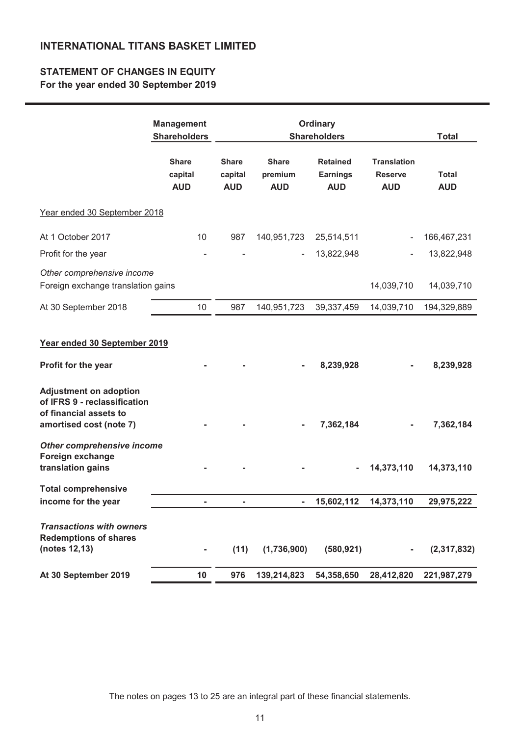# **STATEMENT OF CHANGES IN EQUITY For the year ended 30 September 2019**

|                                                                                                                      | <b>Management</b><br><b>Shareholders</b> |                                       | <b>Ordinary</b><br><b>Shareholders</b> |                                                  |                                                    | <b>Total</b>               |
|----------------------------------------------------------------------------------------------------------------------|------------------------------------------|---------------------------------------|----------------------------------------|--------------------------------------------------|----------------------------------------------------|----------------------------|
|                                                                                                                      | <b>Share</b><br>capital<br><b>AUD</b>    | <b>Share</b><br>capital<br><b>AUD</b> | <b>Share</b><br>premium<br><b>AUD</b>  | <b>Retained</b><br><b>Earnings</b><br><b>AUD</b> | <b>Translation</b><br><b>Reserve</b><br><b>AUD</b> | <b>Total</b><br><b>AUD</b> |
| Year ended 30 September 2018                                                                                         |                                          |                                       |                                        |                                                  |                                                    |                            |
| At 1 October 2017                                                                                                    | 10                                       | 987                                   | 140,951,723                            | 25,514,511                                       | $\qquad \qquad \blacksquare$                       | 166,467,231                |
| Profit for the year                                                                                                  |                                          |                                       |                                        | 13,822,948                                       |                                                    | 13,822,948                 |
| Other comprehensive income<br>Foreign exchange translation gains                                                     |                                          |                                       |                                        |                                                  | 14,039,710                                         | 14,039,710                 |
| At 30 September 2018                                                                                                 | 10                                       | 987                                   | 140,951,723                            | 39,337,459                                       | 14,039,710                                         | 194,329,889                |
| Year ended 30 September 2019<br>Profit for the year<br><b>Adjustment on adoption</b><br>of IFRS 9 - reclassification |                                          |                                       |                                        | 8,239,928                                        |                                                    | 8,239,928                  |
| of financial assets to<br>amortised cost (note 7)                                                                    |                                          |                                       |                                        | 7,362,184                                        |                                                    | 7,362,184                  |
| Other comprehensive income<br>Foreign exchange<br>translation gains                                                  |                                          |                                       |                                        |                                                  | 14,373,110                                         | 14,373,110                 |
| <b>Total comprehensive</b><br>income for the year                                                                    |                                          |                                       |                                        | 15,602,112                                       | 14,373,110                                         | 29,975,222                 |
| <b>Transactions with owners</b><br><b>Redemptions of shares</b><br>(notes 12,13)                                     |                                          | (11)                                  | (1,736,900)                            | (580, 921)                                       |                                                    | (2,317,832)                |
| At 30 September 2019                                                                                                 | 10                                       | 976                                   | 139,214,823                            | 54,358,650                                       | 28,412,820                                         | 221,987,279                |

The notes on pages 13 to 25 are an integral part of these financial statements.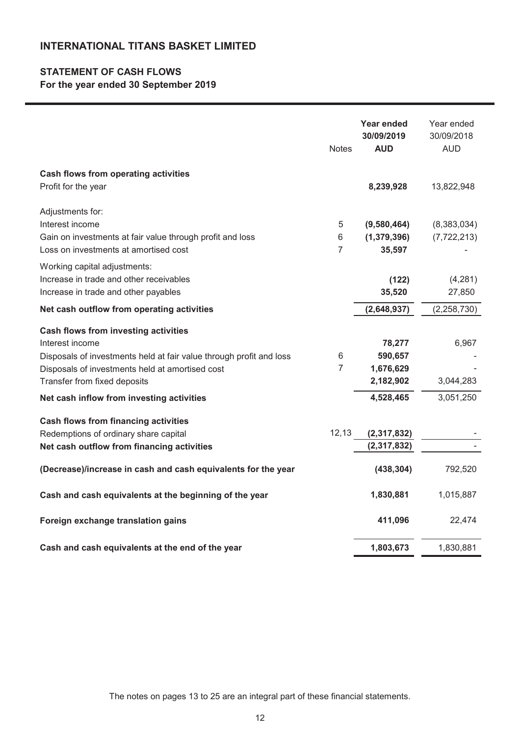# **STATEMENT OF CASH FLOWS**

**For the year ended 30 September 2019**

|                                                                     | <b>Notes</b>   | Year ended<br>30/09/2019<br><b>AUD</b> | Year ended<br>30/09/2018<br><b>AUD</b> |
|---------------------------------------------------------------------|----------------|----------------------------------------|----------------------------------------|
| <b>Cash flows from operating activities</b>                         |                |                                        |                                        |
| Profit for the year                                                 |                | 8,239,928                              | 13,822,948                             |
| Adjustments for:                                                    |                |                                        |                                        |
| Interest income                                                     | 5              | (9,580,464)                            | (8,383,034)                            |
| Gain on investments at fair value through profit and loss           | 6              | (1,379,396)                            | (7, 722, 213)                          |
| Loss on investments at amortised cost                               | 7              | 35,597                                 |                                        |
| Working capital adjustments:                                        |                |                                        |                                        |
| Increase in trade and other receivables                             |                | (122)                                  | (4,281)                                |
| Increase in trade and other payables                                |                | 35,520                                 | 27,850                                 |
| Net cash outflow from operating activities                          |                | (2,648,937)                            | (2, 258, 730)                          |
| Cash flows from investing activities                                |                |                                        |                                        |
| Interest income                                                     |                | 78,277                                 | 6,967                                  |
| Disposals of investments held at fair value through profit and loss | 6              | 590,657                                |                                        |
| Disposals of investments held at amortised cost                     | $\overline{7}$ | 1,676,629                              |                                        |
| Transfer from fixed deposits                                        |                | 2,182,902                              | 3,044,283                              |
| Net cash inflow from investing activities                           |                | 4,528,465                              | 3,051,250                              |
| <b>Cash flows from financing activities</b>                         |                |                                        |                                        |
| Redemptions of ordinary share capital                               | 12,13          | (2,317,832)                            |                                        |
| Net cash outflow from financing activities                          |                | (2, 317, 832)                          |                                        |
| (Decrease)/increase in cash and cash equivalents for the year       |                | (438, 304)                             | 792,520                                |
| Cash and cash equivalents at the beginning of the year              |                | 1,830,881                              | 1,015,887                              |
| Foreign exchange translation gains                                  |                | 411,096                                | 22,474                                 |
| Cash and cash equivalents at the end of the year                    |                | 1,803,673                              | 1,830,881                              |

The notes on pages 13 to 25 are an integral part of these financial statements.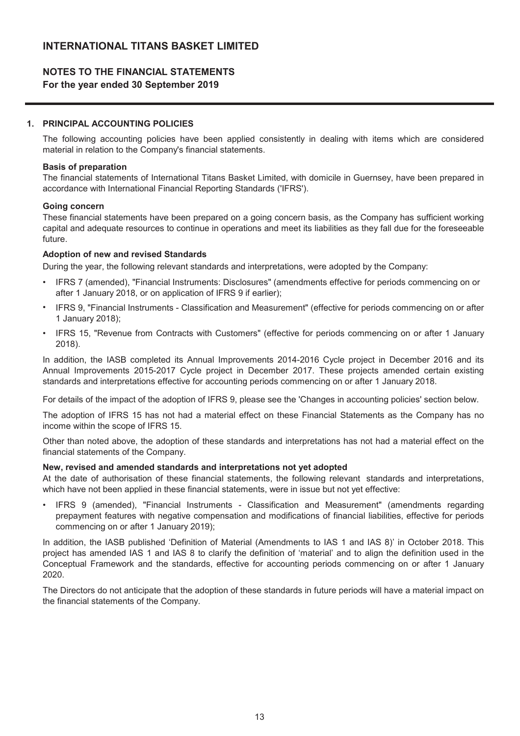### **NOTES TO THE FINANCIAL STATEMENTS For the year ended 30 September 2019**

### **1. PRINCIPAL ACCOUNTING POLICIES**

The following accounting policies have been applied consistently in dealing with items which are considered material in relation to the Company's financial statements.

### **Basis of preparation**

The financial statements of International Titans Basket Limited, with domicile in Guernsey, have been prepared in accordance with International Financial Reporting Standards ('IFRS').

#### **Going concern**

These financial statements have been prepared on a going concern basis, as the Company has sufficient working capital and adequate resources to continue in operations and meet its liabilities as they fall due for the foreseeable future.

### **Adoption of new and revised Standards**

During the year, the following relevant standards and interpretations, were adopted by the Company:

- IFRS 7 (amended), "Financial Instruments: Disclosures" (amendments effective for periods commencing on or after 1 January 2018, or on application of IFRS 9 if earlier);
- IFRS 9, "Financial Instruments Classification and Measurement" (effective for periods commencing on or after 1 January 2018);
- IFRS 15, "Revenue from Contracts with Customers" (effective for periods commencing on or after 1 January 2018).

In addition, the IASB completed its Annual Improvements 2014-2016 Cycle project in December 2016 and its Annual Improvements 2015-2017 Cycle project in December 2017. These projects amended certain existing standards and interpretations effective for accounting periods commencing on or after 1 January 2018.

For details of the impact of the adoption of IFRS 9, please see the 'Changes in accounting policies' section below.

The adoption of IFRS 15 has not had a material effect on these Financial Statements as the Company has no income within the scope of IFRS 15.

Other than noted above, the adoption of these standards and interpretations has not had a material effect on the financial statements of the Company.

### **New, revised and amended standards and interpretations not yet adopted**

At the date of authorisation of these financial statements, the following relevant standards and interpretations, which have not been applied in these financial statements, were in issue but not yet effective:

• IFRS 9 (amended), "Financial Instruments - Classification and Measurement" (amendments regarding prepayment features with negative compensation and modifications of financial liabilities, effective for periods commencing on or after 1 January 2019);

In addition, the IASB published 'Definition of Material (Amendments to IAS 1 and IAS 8)' in October 2018. This project has amended IAS 1 and IAS 8 to clarify the definition of 'material' and to align the definition used in the Conceptual Framework and the standards, effective for accounting periods commencing on or after 1 January 2020.

The Directors do not anticipate that the adoption of these standards in future periods will have a material impact on the financial statements of the Company.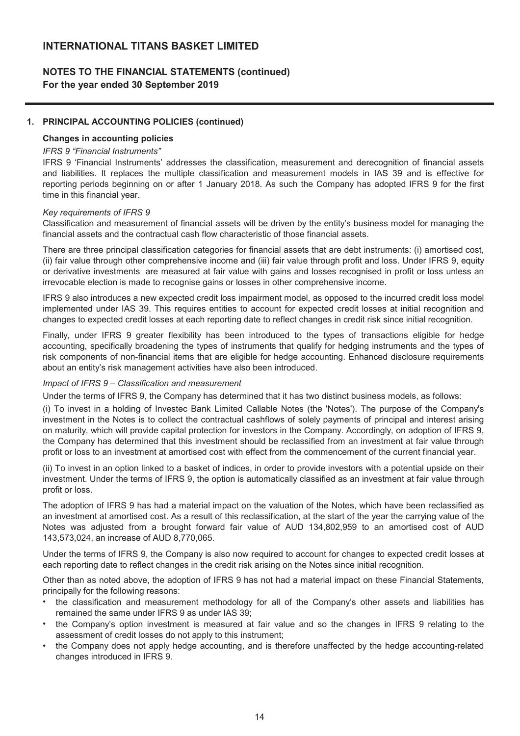# **NOTES TO THE FINANCIAL STATEMENTS (continued) For the year ended 30 September 2019**

### **1. PRINCIPAL ACCOUNTING POLICIES (continued)**

### **Changes in accounting policies**

### *IFRS 9 "Financial Instruments"*

IFRS 9 'Financial Instruments' addresses the classification, measurement and derecognition of financial assets and liabilities. It replaces the multiple classification and measurement models in IAS 39 and is effective for reporting periods beginning on or after 1 January 2018. As such the Company has adopted IFRS 9 for the first time in this financial year.

#### *Key requirements of IFRS 9*

Classification and measurement of financial assets will be driven by the entity's business model for managing the financial assets and the contractual cash flow characteristic of those financial assets.

There are three principal classification categories for financial assets that are debt instruments: (i) amortised cost, (ii) fair value through other comprehensive income and (iii) fair value through profit and loss. Under IFRS 9, equity or derivative investments are measured at fair value with gains and losses recognised in profit or loss unless an irrevocable election is made to recognise gains or losses in other comprehensive income.

IFRS 9 also introduces a new expected credit loss impairment model, as opposed to the incurred credit loss model implemented under IAS 39. This requires entities to account for expected credit losses at initial recognition and changes to expected credit losses at each reporting date to reflect changes in credit risk since initial recognition.

Finally, under IFRS 9 greater flexibility has been introduced to the types of transactions eligible for hedge accounting, specifically broadening the types of instruments that qualify for hedging instruments and the types of risk components of non-financial items that are eligible for hedge accounting. Enhanced disclosure requirements about an entity's risk management activities have also been introduced.

### *Impact of IFRS 9 – Classification and measurement*

Under the terms of IFRS 9, the Company has determined that it has two distinct business models, as follows:

(i) To invest in a holding of Investec Bank Limited Callable Notes (the 'Notes'). The purpose of the Company's investment in the Notes is to collect the contractual cashflows of solely payments of principal and interest arising on maturity, which will provide capital protection for investors in the Company. Accordingly, on adoption of IFRS 9, the Company has determined that this investment should be reclassified from an investment at fair value through profit or loss to an investment at amortised cost with effect from the commencement of the current financial year.

(ii) To invest in an option linked to a basket of indices, in order to provide investors with a potential upside on their investment. Under the terms of IFRS 9, the option is automatically classified as an investment at fair value through profit or loss.

The adoption of IFRS 9 has had a material impact on the valuation of the Notes, which have been reclassified as an investment at amortised cost. As a result of this reclassification, at the start of the year the carrying value of the Notes was adjusted from a brought forward fair value of AUD 134,802,959 to an amortised cost of AUD 143,573,024, an increase of AUD 8,770,065.

Under the terms of IFRS 9, the Company is also now required to account for changes to expected credit losses at each reporting date to reflect changes in the credit risk arising on the Notes since initial recognition.

Other than as noted above, the adoption of IFRS 9 has not had a material impact on these Financial Statements, principally for the following reasons:

- the classification and measurement methodology for all of the Company's other assets and liabilities has remained the same under IFRS 9 as under IAS 39;
- the Company's option investment is measured at fair value and so the changes in IFRS 9 relating to the assessment of credit losses do not apply to this instrument;
- the Company does not apply hedge accounting, and is therefore unaffected by the hedge accounting-related changes introduced in IFRS 9.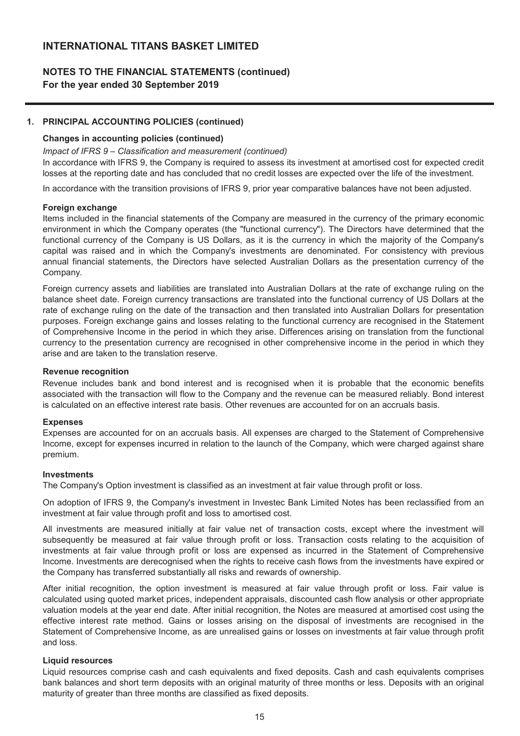# **NOTES TO THE FINANCIAL STATEMENTS (continued) For the year ended 30 September 2019**

### **1. PRINCIPAL ACCOUNTING POLICIES (continued)**

### **Changes in accounting policies (continued)**

#### *Impact of IFRS 9 – Classification and measurement (continued)*

In accordance with IFRS 9, the Company is required to assess its investment at amortised cost for expected credit losses at the reporting date and has concluded that no credit losses are expected over the life of the investment.

In accordance with the transition provisions of IFRS 9, prior year comparative balances have not been adjusted.

#### **Foreign exchange**

Items included in the financial statements of the Company are measured in the currency of the primary economic environment in which the Company operates (the "functional currency"). The Directors have determined that the functional currency of the Company is US Dollars, as it is the currency in which the majority of the Company's capital was raised and in which the Company's investments are denominated. For consistency with previous annual financial statements, the Directors have selected Australian Dollars as the presentation currency of the Company.

Foreign currency assets and liabilities are translated into Australian Dollars at the rate of exchange ruling on the balance sheet date. Foreign currency transactions are translated into the functional currency of US Dollars at the rate of exchange ruling on the date of the transaction and then translated into Australian Dollars for presentation purposes. Foreign exchange gains and losses relating to the functional currency are recognised in the Statement of Comprehensive Income in the period in which they arise. Differences arising on translation from the functional currency to the presentation currency are recognised in other comprehensive income in the period in which they arise and are taken to the translation reserve.

#### **Revenue recognition**

Revenue includes bank and bond interest and is recognised when it is probable that the economic benefits associated with the transaction will flow to the Company and the revenue can be measured reliably. Bond interest is calculated on an effective interest rate basis. Other revenues are accounted for on an accruals basis.

### **Expenses**

Expenses are accounted for on an accruals basis. All expenses are charged to the Statement of Comprehensive Income, except for expenses incurred in relation to the launch of the Company, which were charged against share premium.

### **Investments**

The Company's Option investment is classified as an investment at fair value through profit or loss.

On adoption of IFRS 9, the Company's investment in Investec Bank Limited Notes has been reclassified from an investment at fair value through profit and loss to amortised cost.

All investments are measured initially at fair value net of transaction costs, except where the investment will subsequently be measured at fair value through profit or loss. Transaction costs relating to the acquisition of investments at fair value through profit or loss are expensed as incurred in the Statement of Comprehensive Income. Investments are derecognised when the rights to receive cash flows from the investments have expired or the Company has transferred substantially all risks and rewards of ownership.

After initial recognition, the option investment is measured at fair value through profit or loss. Fair value is calculated using quoted market prices, independent appraisals, discounted cash flow analysis or other appropriate valuation models at the year end date. After initial recognition, the Notes are measured at amortised cost using the effective interest rate method. Gains or losses arising on the disposal of investments are recognised in the Statement of Comprehensive Income, as are unrealised gains or losses on investments at fair value through profit and loss.

### **Liquid resources**

Liquid resources comprise cash and cash equivalents and fixed deposits. Cash and cash equivalents comprises bank balances and short term deposits with an original maturity of three months or less. Deposits with an original maturity of greater than three months are classified as fixed deposits.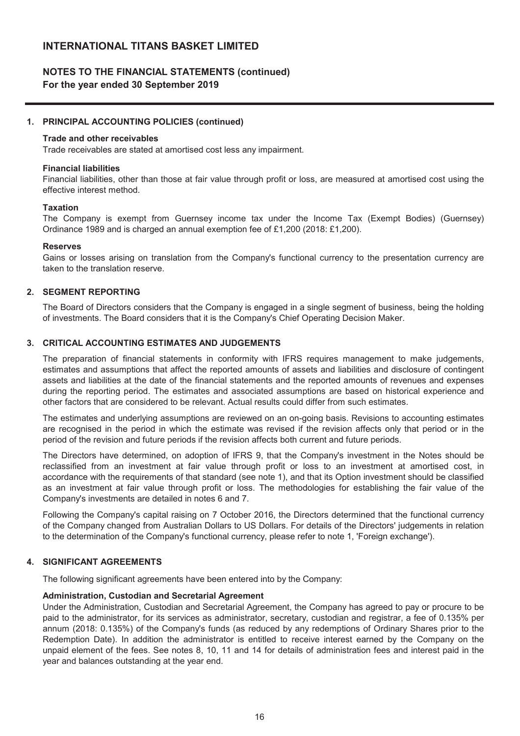### **NOTES TO THE FINANCIAL STATEMENTS (continued) For the year ended 30 September 2019**

### **1. PRINCIPAL ACCOUNTING POLICIES (continued)**

#### **Trade and other receivables**

Trade receivables are stated at amortised cost less any impairment.

#### **Financial liabilities**

Financial liabilities, other than those at fair value through profit or loss, are measured at amortised cost using the effective interest method.

### **Taxation**

The Company is exempt from Guernsey income tax under the Income Tax (Exempt Bodies) (Guernsey) Ordinance 1989 and is charged an annual exemption fee of £1,200 (2018: £1,200).

#### **Reserves**

Gains or losses arising on translation from the Company's functional currency to the presentation currency are taken to the translation reserve.

### **2. SEGMENT REPORTING**

The Board of Directors considers that the Company is engaged in a single segment of business, being the holding of investments. The Board considers that it is the Company's Chief Operating Decision Maker.

### **3. CRITICAL ACCOUNTING ESTIMATES AND JUDGEMENTS**

The preparation of financial statements in conformity with IFRS requires management to make judgements, estimates and assumptions that affect the reported amounts of assets and liabilities and disclosure of contingent assets and liabilities at the date of the financial statements and the reported amounts of revenues and expenses during the reporting period. The estimates and associated assumptions are based on historical experience and other factors that are considered to be relevant. Actual results could differ from such estimates.

The estimates and underlying assumptions are reviewed on an on-going basis. Revisions to accounting estimates are recognised in the period in which the estimate was revised if the revision affects only that period or in the period of the revision and future periods if the revision affects both current and future periods.

The Directors have determined, on adoption of IFRS 9, that the Company's investment in the Notes should be reclassified from an investment at fair value through profit or loss to an investment at amortised cost, in accordance with the requirements of that standard (see note 1), and that its Option investment should be classified as an investment at fair value through profit or loss. The methodologies for establishing the fair value of the Company's investments are detailed in notes 6 and 7.

Following the Company's capital raising on 7 October 2016, the Directors determined that the functional currency of the Company changed from Australian Dollars to US Dollars. For details of the Directors' judgements in relation to the determination of the Company's functional currency, please refer to note 1, 'Foreign exchange').

#### **4. SIGNIFICANT AGREEMENTS**

The following significant agreements have been entered into by the Company:

#### **Administration, Custodian and Secretarial Agreement**

Under the Administration, Custodian and Secretarial Agreement, the Company has agreed to pay or procure to be paid to the administrator, for its services as administrator, secretary, custodian and registrar, a fee of 0.135% per annum (2018: 0.135%) of the Company's funds (as reduced by any redemptions of Ordinary Shares prior to the Redemption Date). In addition the administrator is entitled to receive interest earned by the Company on the unpaid element of the fees. See notes 8, 10, 11 and 14 for details of administration fees and interest paid in the year and balances outstanding at the year end.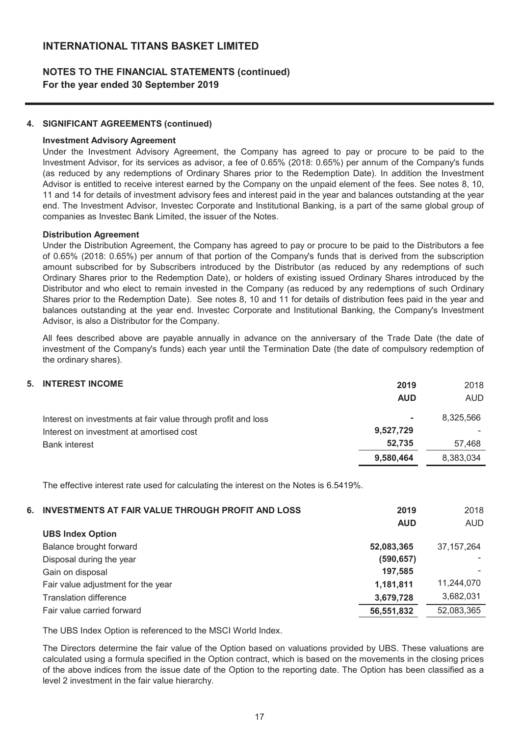# **NOTES TO THE FINANCIAL STATEMENTS (continued) For the year ended 30 September 2019**

### **4. SIGNIFICANT AGREEMENTS (continued)**

### **Investment Advisory Agreement**

Under the Investment Advisory Agreement, the Company has agreed to pay or procure to be paid to the Investment Advisor, for its services as advisor, a fee of 0.65% (2018: 0.65%) per annum of the Company's funds (as reduced by any redemptions of Ordinary Shares prior to the Redemption Date). In addition the Investment Advisor is entitled to receive interest earned by the Company on the unpaid element of the fees. See notes 8, 10, 11 and 14 for details of investment advisory fees and interest paid in the year and balances outstanding at the year end. The Investment Advisor, Investec Corporate and Institutional Banking, is a part of the same global group of companies as Investec Bank Limited, the issuer of the Notes.

#### **Distribution Agreement**

Under the Distribution Agreement, the Company has agreed to pay or procure to be paid to the Distributors a fee of 0.65% (2018: 0.65%) per annum of that portion of the Company's funds that is derived from the subscription amount subscribed for by Subscribers introduced by the Distributor (as reduced by any redemptions of such Ordinary Shares prior to the Redemption Date), or holders of existing issued Ordinary Shares introduced by the Distributor and who elect to remain invested in the Company (as reduced by any redemptions of such Ordinary Shares prior to the Redemption Date). See notes 8, 10 and 11 for details of distribution fees paid in the year and balances outstanding at the year end. Investec Corporate and Institutional Banking, the Company's Investment Advisor, is also a Distributor for the Company.

All fees described above are payable annually in advance on the anniversary of the Trade Date (the date of investment of the Company's funds) each year until the Termination Date (the date of compulsory redemption of the ordinary shares).

| <b>5. INTEREST INCOME</b>                                     | 2019           | 2018       |
|---------------------------------------------------------------|----------------|------------|
|                                                               | <b>AUD</b>     | <b>AUD</b> |
| Interest on investments at fair value through profit and loss | $\blacksquare$ | 8.325.566  |
| Interest on investment at amortised cost                      | 9,527,729      |            |
| <b>Bank interest</b>                                          | 52,735         | 57.468     |
|                                                               | 9.580.464      | 8,383,034  |

The effective interest rate used for calculating the interest on the Notes is 6.5419%.

| 6. INVESTMENTS AT FAIR VALUE THROUGH PROFIT AND LOSS | 2019       | 2018         |
|------------------------------------------------------|------------|--------------|
|                                                      | <b>AUD</b> | <b>AUD</b>   |
| <b>UBS Index Option</b>                              |            |              |
| Balance brought forward                              | 52,083,365 | 37, 157, 264 |
| Disposal during the year                             | (590, 657) |              |
| Gain on disposal                                     | 197,585    |              |
| Fair value adjustment for the year                   | 1,181,811  | 11,244,070   |
| <b>Translation difference</b>                        | 3,679,728  | 3,682,031    |
| Fair value carried forward                           | 56,551,832 | 52,083,365   |
|                                                      |            |              |

The UBS Index Option is referenced to the MSCI World Index.

The Directors determine the fair value of the Option based on valuations provided by UBS. These valuations are calculated using a formula specified in the Option contract, which is based on the movements in the closing prices of the above indices from the issue date of the Option to the reporting date. The Option has been classified as a level 2 investment in the fair value hierarchy.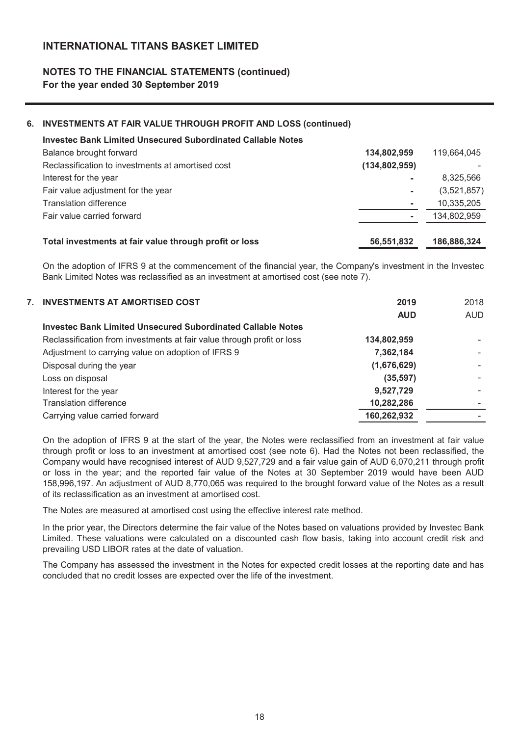### **NOTES TO THE FINANCIAL STATEMENTS (continued) For the year ended 30 September 2019**

### **6. INVESTMENTS AT FAIR VALUE THROUGH PROFIT AND LOSS (continued)**

| <b>Investec Bank Limited Unsecured Subordinated Callable Notes</b> |                 |             |
|--------------------------------------------------------------------|-----------------|-------------|
| Balance brought forward                                            | 134,802,959     | 119,664,045 |
| Reclassification to investments at amortised cost                  | (134, 802, 959) |             |
| Interest for the year                                              | $\sim$          | 8,325,566   |
| Fair value adjustment for the year                                 | ٠               | (3,521,857) |
| <b>Translation difference</b>                                      | ۰               | 10,335,205  |
| Fair value carried forward                                         | $\sim$          | 134,802,959 |
|                                                                    |                 |             |
| Total investments at fair value through profit or loss             | 56,551,832      | 186,886,324 |

On the adoption of IFRS 9 at the commencement of the financial year, the Company's investment in the Investec Bank Limited Notes was reclassified as an investment at amortised cost (see note 7).

| 7. INVESTMENTS AT AMORTISED COST                                       | 2019        | 2018       |
|------------------------------------------------------------------------|-------------|------------|
|                                                                        | <b>AUD</b>  | <b>AUD</b> |
| Investec Bank Limited Unsecured Subordinated Callable Notes            |             |            |
| Reclassification from investments at fair value through profit or loss | 134,802,959 |            |
| Adjustment to carrying value on adoption of IFRS 9                     | 7,362,184   |            |
| Disposal during the year                                               | (1,676,629) |            |
| Loss on disposal                                                       | (35, 597)   |            |
| Interest for the year                                                  | 9,527,729   |            |
| <b>Translation difference</b>                                          | 10,282,286  |            |
| Carrying value carried forward                                         | 160,262,932 |            |
|                                                                        |             |            |

On the adoption of IFRS 9 at the start of the year, the Notes were reclassified from an investment at fair value through profit or loss to an investment at amortised cost (see note 6). Had the Notes not been reclassified, the Company would have recognised interest of AUD 9,527,729 and a fair value gain of AUD 6,070,211 through profit or loss in the year; and the reported fair value of the Notes at 30 September 2019 would have been AUD 158,996,197. An adjustment of AUD 8,770,065 was required to the brought forward value of the Notes as a result of its reclassification as an investment at amortised cost.

The Notes are measured at amortised cost using the effective interest rate method.

In the prior year, the Directors determine the fair value of the Notes based on valuations provided by Investec Bank Limited. These valuations were calculated on a discounted cash flow basis, taking into account credit risk and prevailing USD LIBOR rates at the date of valuation.

The Company has assessed the investment in the Notes for expected credit losses at the reporting date and has concluded that no credit losses are expected over the life of the investment.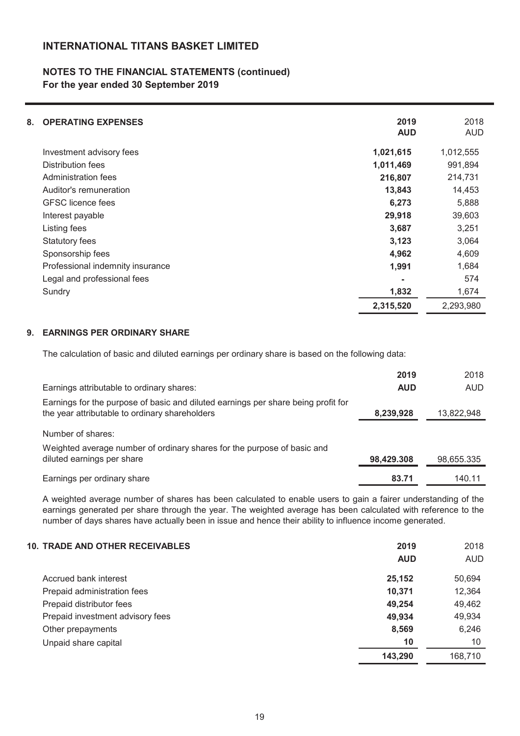# **NOTES TO THE FINANCIAL STATEMENTS (continued) For the year ended 30 September 2019**

| 8. | <b>OPERATING EXPENSES</b>        | 2019<br><b>AUD</b> | 2018<br><b>AUD</b> |
|----|----------------------------------|--------------------|--------------------|
|    |                                  |                    |                    |
|    | Investment advisory fees         | 1,021,615          | 1,012,555          |
|    | Distribution fees                | 1,011,469          | 991,894            |
|    | Administration fees              | 216,807            | 214,731            |
|    | Auditor's remuneration           | 13,843             | 14,453             |
|    | <b>GFSC</b> licence fees         | 6,273              | 5,888              |
|    | Interest payable                 | 29,918             | 39,603             |
|    | Listing fees                     | 3,687              | 3,251              |
|    | <b>Statutory fees</b>            | 3,123              | 3,064              |
|    | Sponsorship fees                 | 4,962              | 4,609              |
|    | Professional indemnity insurance | 1,991              | 1,684              |
|    | Legal and professional fees      |                    | 574                |
|    | Sundry                           | 1,832              | 1,674              |
|    |                                  | 2,315,520          | 2,293,980          |

### **9. EARNINGS PER ORDINARY SHARE**

The calculation of basic and diluted earnings per ordinary share is based on the following data:

|                                                                                                                                     | 2019       | 2018       |
|-------------------------------------------------------------------------------------------------------------------------------------|------------|------------|
| Earnings attributable to ordinary shares:                                                                                           | <b>AUD</b> | <b>AUD</b> |
| Earnings for the purpose of basic and diluted earnings per share being profit for<br>the year attributable to ordinary shareholders | 8,239,928  | 13,822,948 |
| Number of shares:                                                                                                                   |            |            |
| Weighted average number of ordinary shares for the purpose of basic and<br>diluted earnings per share                               | 98,429.308 | 98,655.335 |
| Earnings per ordinary share                                                                                                         | 83.71      | 140.11     |

A weighted average number of shares has been calculated to enable users to gain a fairer understanding of the earnings generated per share through the year. The weighted average has been calculated with reference to the number of days shares have actually been in issue and hence their ability to influence income generated.

| <b>10. TRADE AND OTHER RECEIVABLES</b> | 2019       | 2018       |
|----------------------------------------|------------|------------|
|                                        | <b>AUD</b> | <b>AUD</b> |
| Accrued bank interest                  | 25,152     | 50,694     |
| Prepaid administration fees            | 10,371     | 12,364     |
| Prepaid distributor fees               | 49,254     | 49,462     |
| Prepaid investment advisory fees       | 49,934     | 49,934     |
| Other prepayments                      | 8,569      | 6,246      |
| Unpaid share capital                   | 10         | 10         |
|                                        | 143,290    | 168,710    |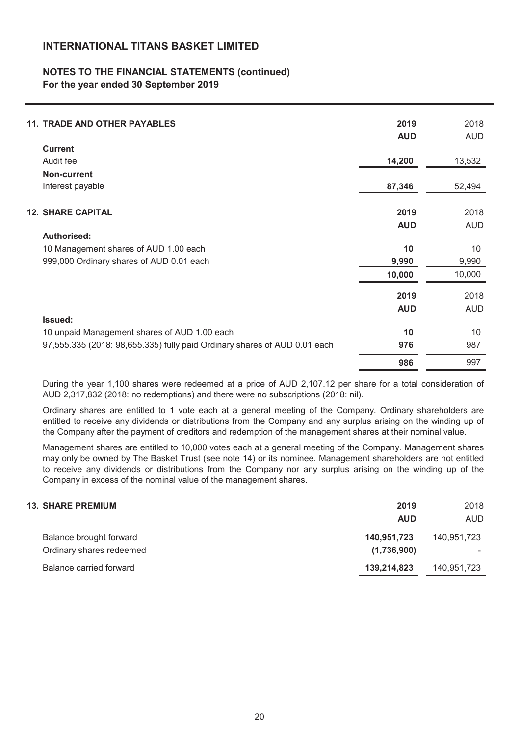## **NOTES TO THE FINANCIAL STATEMENTS (continued) For the year ended 30 September 2019**

| <b>11. TRADE AND OTHER PAYABLES</b>                                       | 2019<br><b>AUD</b> | 2018<br><b>AUD</b> |
|---------------------------------------------------------------------------|--------------------|--------------------|
| <b>Current</b>                                                            |                    |                    |
| Audit fee                                                                 | 14,200             | 13,532             |
| Non-current                                                               |                    |                    |
| Interest payable                                                          | 87,346             | 52,494             |
|                                                                           |                    |                    |
| <b>12. SHARE CAPITAL</b>                                                  | 2019               | 2018               |
|                                                                           | <b>AUD</b>         | <b>AUD</b>         |
| <b>Authorised:</b>                                                        |                    |                    |
| 10 Management shares of AUD 1.00 each                                     | 10                 | 10                 |
| 999,000 Ordinary shares of AUD 0.01 each                                  | 9,990              | 9,990              |
|                                                                           | 10,000             | 10,000             |
|                                                                           | 2019               | 2018               |
|                                                                           | <b>AUD</b>         | <b>AUD</b>         |
| Issued:                                                                   |                    |                    |
| 10 unpaid Management shares of AUD 1.00 each                              | 10                 | 10                 |
| 97,555.335 (2018: 98,655.335) fully paid Ordinary shares of AUD 0.01 each | 976                | 987                |
|                                                                           | 986                | 997                |
|                                                                           |                    |                    |

During the year 1,100 shares were redeemed at a price of AUD 2,107.12 per share for a total consideration of AUD 2,317,832 (2018: no redemptions) and there were no subscriptions (2018: nil).

Ordinary shares are entitled to 1 vote each at a general meeting of the Company. Ordinary shareholders are entitled to receive any dividends or distributions from the Company and any surplus arising on the winding up of the Company after the payment of creditors and redemption of the management shares at their nominal value.

Management shares are entitled to 10,000 votes each at a general meeting of the Company. Management shares may only be owned by The Basket Trust (see note 14) or its nominee. Management shareholders are not entitled to receive any dividends or distributions from the Company nor any surplus arising on the winding up of the Company in excess of the nominal value of the management shares.

| <b>13. SHARE PREMIUM</b>                            | 2019<br><b>AUD</b>         | 2018<br><b>AUD</b> |
|-----------------------------------------------------|----------------------------|--------------------|
| Balance brought forward<br>Ordinary shares redeemed | 140,951,723<br>(1,736,900) | 140,951,723        |
| Balance carried forward                             | 139,214,823                | 140,951,723        |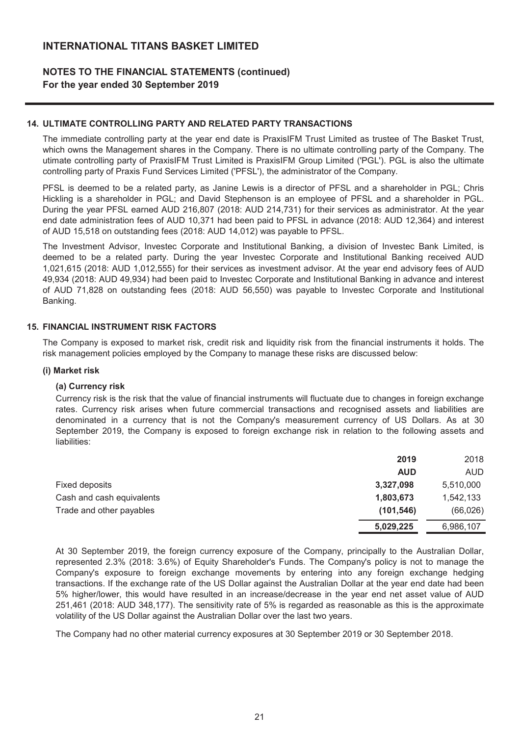### **NOTES TO THE FINANCIAL STATEMENTS (continued) For the year ended 30 September 2019**

### **14. ULTIMATE CONTROLLING PARTY AND RELATED PARTY TRANSACTIONS**

The immediate controlling party at the year end date is PraxisIFM Trust Limited as trustee of The Basket Trust, which owns the Management shares in the Company. There is no ultimate controlling party of the Company. The utimate controlling party of PraxisIFM Trust Limited is PraxisIFM Group Limited ('PGL'). PGL is also the ultimate controlling party of Praxis Fund Services Limited ('PFSL'), the administrator of the Company.

PFSL is deemed to be a related party, as Janine Lewis is a director of PFSL and a shareholder in PGL; Chris Hickling is a shareholder in PGL; and David Stephenson is an employee of PFSL and a shareholder in PGL. During the year PFSL earned AUD 216,807 (2018: AUD 214,731) for their services as administrator. At the year end date administration fees of AUD 10,371 had been paid to PFSL in advance (2018: AUD 12,364) and interest of AUD 15,518 on outstanding fees (2018: AUD 14,012) was payable to PFSL.

The Investment Advisor, Investec Corporate and Institutional Banking, a division of Investec Bank Limited, is deemed to be a related party. During the year Investec Corporate and Institutional Banking received AUD 1,021,615 (2018: AUD 1,012,555) for their services as investment advisor. At the year end advisory fees of AUD 49,934 (2018: AUD 49,934) had been paid to Investec Corporate and Institutional Banking in advance and interest of AUD 71,828 on outstanding fees (2018: AUD 56,550) was payable to Investec Corporate and Institutional Banking.

### **15. FINANCIAL INSTRUMENT RISK FACTORS**

The Company is exposed to market risk, credit risk and liquidity risk from the financial instruments it holds. The risk management policies employed by the Company to manage these risks are discussed below:

#### **(i) Market risk**

#### **(a) Currency risk**

Currency risk is the risk that the value of financial instruments will fluctuate due to changes in foreign exchange rates. Currency risk arises when future commercial transactions and recognised assets and liabilities are denominated in a currency that is not the Company's measurement currency of US Dollars. As at 30 September 2019, the Company is exposed to foreign exchange risk in relation to the following assets and liabilities:

|                           | 2019       | 2018      |
|---------------------------|------------|-----------|
|                           | <b>AUD</b> | AUD.      |
| Fixed deposits            | 3,327,098  | 5,510,000 |
| Cash and cash equivalents | 1,803,673  | 1,542,133 |
| Trade and other payables  | (101, 546) | (66, 026) |
|                           | 5,029,225  | 6,986,107 |

At 30 September 2019, the foreign currency exposure of the Company, principally to the Australian Dollar, represented 2.3% (2018: 3.6%) of Equity Shareholder's Funds. The Company's policy is not to manage the Company's exposure to foreign exchange movements by entering into any foreign exchange hedging transactions. If the exchange rate of the US Dollar against the Australian Dollar at the year end date had been 5% higher/lower, this would have resulted in an increase/decrease in the year end net asset value of AUD 251,461 (2018: AUD 348,177). The sensitivity rate of 5% is regarded as reasonable as this is the approximate volatility of the US Dollar against the Australian Dollar over the last two years.

The Company had no other material currency exposures at 30 September 2019 or 30 September 2018.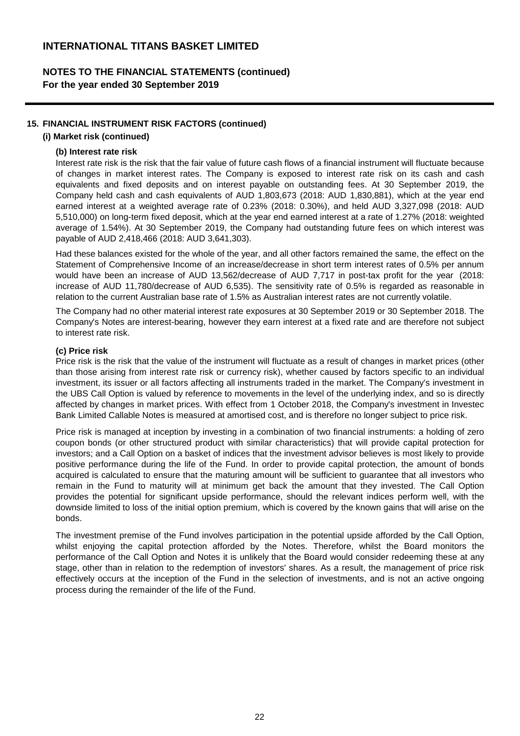# **NOTES TO THE FINANCIAL STATEMENTS (continued) For the year ended 30 September 2019**

### **15. FINANCIAL INSTRUMENT RISK FACTORS (continued)**

### **(i) Market risk (continued)**

#### **(b) Interest rate risk**

Interest rate risk is the risk that the fair value of future cash flows of a financial instrument will fluctuate because of changes in market interest rates. The Company is exposed to interest rate risk on its cash and cash equivalents and fixed deposits and on interest payable on outstanding fees. At 30 September 2019, the Company held cash and cash equivalents of AUD 1,803,673 (2018: AUD 1,830,881), which at the year end earned interest at a weighted average rate of 0.23% (2018: 0.30%), and held AUD 3,327,098 (2018: AUD 5,510,000) on long-term fixed deposit, which at the year end earned interest at a rate of 1.27% (2018: weighted average of 1.54%). At 30 September 2019, the Company had outstanding future fees on which interest was payable of AUD 2,418,466 (2018: AUD 3,641,303).

Had these balances existed for the whole of the year, and all other factors remained the same, the effect on the Statement of Comprehensive Income of an increase/decrease in short term interest rates of 0.5% per annum would have been an increase of AUD 13,562/decrease of AUD 7,717 in post-tax profit for the year (2018: increase of AUD 11,780/decrease of AUD 6,535). The sensitivity rate of 0.5% is regarded as reasonable in relation to the current Australian base rate of 1.5% as Australian interest rates are not currently volatile.

The Company had no other material interest rate exposures at 30 September 2019 or 30 September 2018. The Company's Notes are interest-bearing, however they earn interest at a fixed rate and are therefore not subject to interest rate risk.

#### **(c) Price risk**

Price risk is the risk that the value of the instrument will fluctuate as a result of changes in market prices (other than those arising from interest rate risk or currency risk), whether caused by factors specific to an individual investment, its issuer or all factors affecting all instruments traded in the market. The Company's investment in the UBS Call Option is valued by reference to movements in the level of the underlying index, and so is directly affected by changes in market prices. With effect from 1 October 2018, the Company's investment in Investec Bank Limited Callable Notes is measured at amortised cost, and is therefore no longer subject to price risk.

Price risk is managed at inception by investing in a combination of two financial instruments: a holding of zero coupon bonds (or other structured product with similar characteristics) that will provide capital protection for investors; and a Call Option on a basket of indices that the investment advisor believes is most likely to provide positive performance during the life of the Fund. In order to provide capital protection, the amount of bonds acquired is calculated to ensure that the maturing amount will be sufficient to guarantee that all investors who remain in the Fund to maturity will at minimum get back the amount that they invested. The Call Option provides the potential for significant upside performance, should the relevant indices perform well, with the downside limited to loss of the initial option premium, which is covered by the known gains that will arise on the bonds.

The investment premise of the Fund involves participation in the potential upside afforded by the Call Option, whilst enjoying the capital protection afforded by the Notes. Therefore, whilst the Board monitors the performance of the Call Option and Notes it is unlikely that the Board would consider redeeming these at any stage, other than in relation to the redemption of investors' shares. As a result, the management of price risk effectively occurs at the inception of the Fund in the selection of investments, and is not an active ongoing process during the remainder of the life of the Fund.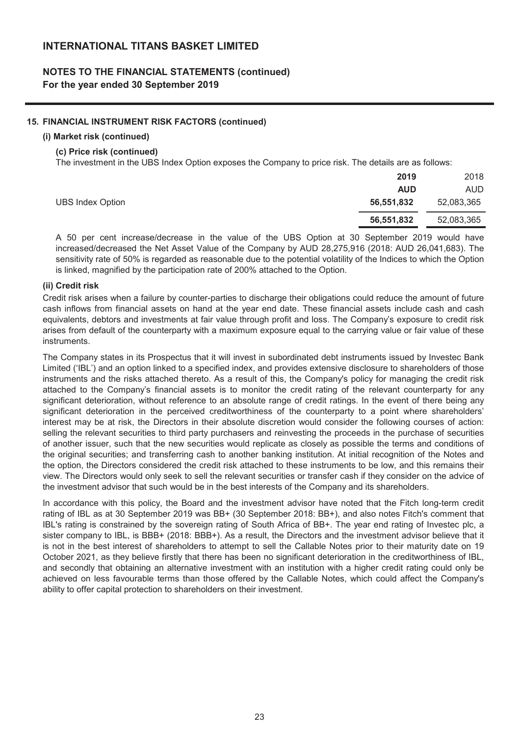## **NOTES TO THE FINANCIAL STATEMENTS (continued) For the year ended 30 September 2019**

### **15. FINANCIAL INSTRUMENT RISK FACTORS (continued)**

#### **(i) Market risk (continued)**

#### **(c) Price risk (continued)**

The investment in the UBS Index Option exposes the Company to price risk. The details are as follows:

|                         | 2019       | 2018       |
|-------------------------|------------|------------|
|                         | <b>AUD</b> | <b>AUD</b> |
| <b>UBS Index Option</b> | 56,551,832 | 52,083,365 |
|                         | 56,551,832 | 52,083,365 |

A 50 per cent increase/decrease in the value of the UBS Option at 30 September 2019 would have increased/decreased the Net Asset Value of the Company by AUD 28,275,916 (2018: AUD 26,041,683). The sensitivity rate of 50% is regarded as reasonable due to the potential volatility of the Indices to which the Option is linked, magnified by the participation rate of 200% attached to the Option.

#### **(ii) Credit risk**

Credit risk arises when a failure by counter-parties to discharge their obligations could reduce the amount of future cash inflows from financial assets on hand at the year end date. These financial assets include cash and cash equivalents, debtors and investments at fair value through profit and loss. The Company's exposure to credit risk arises from default of the counterparty with a maximum exposure equal to the carrying value or fair value of these instruments.

The Company states in its Prospectus that it will invest in subordinated debt instruments issued by Investec Bank Limited ('IBL') and an option linked to a specified index, and provides extensive disclosure to shareholders of those instruments and the risks attached thereto. As a result of this, the Company's policy for managing the credit risk attached to the Company's financial assets is to monitor the credit rating of the relevant counterparty for any significant deterioration, without reference to an absolute range of credit ratings. In the event of there being any significant deterioration in the perceived creditworthiness of the counterparty to a point where shareholders' interest may be at risk, the Directors in their absolute discretion would consider the following courses of action: selling the relevant securities to third party purchasers and reinvesting the proceeds in the purchase of securities of another issuer, such that the new securities would replicate as closely as possible the terms and conditions of the original securities; and transferring cash to another banking institution. At initial recognition of the Notes and the option, the Directors considered the credit risk attached to these instruments to be low, and this remains their view. The Directors would only seek to sell the relevant securities or transfer cash if they consider on the advice of the investment advisor that such would be in the best interests of the Company and its shareholders.

In accordance with this policy, the Board and the investment advisor have noted that the Fitch long-term credit rating of IBL as at 30 September 2019 was BB+ (30 September 2018: BB+), and also notes Fitch's comment that IBL's rating is constrained by the sovereign rating of South Africa of BB+. The year end rating of Investec plc, a sister company to IBL, is BBB+ (2018: BBB+). As a result, the Directors and the investment advisor believe that it is not in the best interest of shareholders to attempt to sell the Callable Notes prior to their maturity date on 19 October 2021, as they believe firstly that there has been no significant deterioration in the creditworthiness of IBL, and secondly that obtaining an alternative investment with an institution with a higher credit rating could only be achieved on less favourable terms than those offered by the Callable Notes, which could affect the Company's ability to offer capital protection to shareholders on their investment.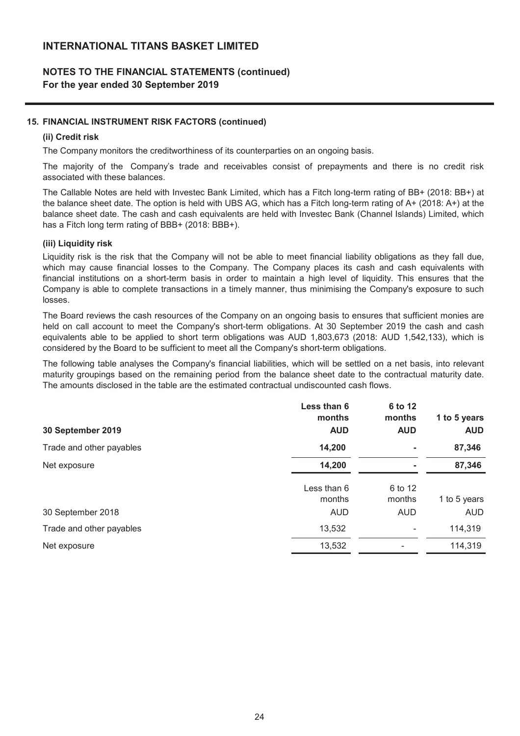# **NOTES TO THE FINANCIAL STATEMENTS (continued) For the year ended 30 September 2019**

### **15. FINANCIAL INSTRUMENT RISK FACTORS (continued)**

#### **(ii) Credit risk**

The Company monitors the creditworthiness of its counterparties on an ongoing basis.

The majority of the Company's trade and receivables consist of prepayments and there is no credit risk associated with these balances.

The Callable Notes are held with Investec Bank Limited, which has a Fitch long-term rating of BB+ (2018: BB+) at the balance sheet date. The option is held with UBS AG, which has a Fitch long-term rating of A+ (2018: A+) at the balance sheet date. The cash and cash equivalents are held with Investec Bank (Channel Islands) Limited, which has a Fitch long term rating of BBB+ (2018: BBB+).

#### **(iii) Liquidity risk**

Liquidity risk is the risk that the Company will not be able to meet financial liability obligations as they fall due, which may cause financial losses to the Company. The Company places its cash and cash equivalents with financial institutions on a short-term basis in order to maintain a high level of liquidity. This ensures that the Company is able to complete transactions in a timely manner, thus minimising the Company's exposure to such losses.

The Board reviews the cash resources of the Company on an ongoing basis to ensures that sufficient monies are held on call account to meet the Company's short-term obligations. At 30 September 2019 the cash and cash equivalents able to be applied to short term obligations was AUD 1,803,673 (2018: AUD 1,542,133), which is considered by the Board to be sufficient to meet all the Company's short-term obligations.

The following table analyses the Company's financial liabilities, which will be settled on a net basis, into relevant maturity groupings based on the remaining period from the balance sheet date to the contractual maturity date. The amounts disclosed in the table are the estimated contractual undiscounted cash flows.

| months                | months            | 1 to 5 years<br><b>AUD</b>           |
|-----------------------|-------------------|--------------------------------------|
| 14,200                |                   | 87,346                               |
| 14,200                |                   | 87,346                               |
| Less than 6<br>months | 6 to 12<br>months | 1 to 5 years                         |
| <b>AUD</b>            | <b>AUD</b>        | <b>AUD</b>                           |
| 13,532                |                   | 114,319                              |
| 13,532                |                   | 114,319                              |
|                       | <b>AUD</b>        | Less than 6<br>6 to 12<br><b>AUD</b> |